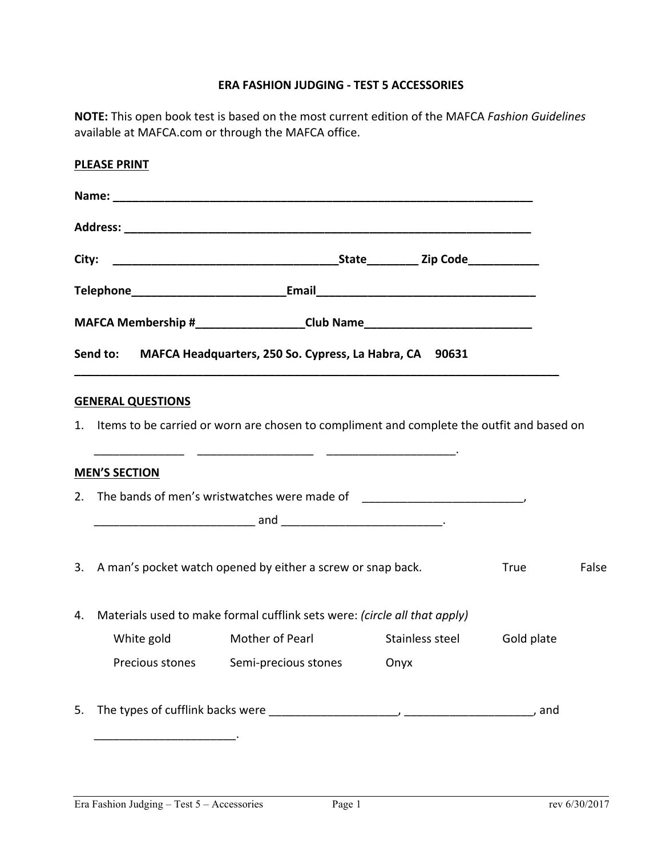## **ERA FASHION JUDGING - TEST 5 ACCESSORIES**

NOTE: This open book test is based on the most current edition of the MAFCA *Fashion Guidelines* available at MAFCA.com or through the MAFCA office.

|    | <b>PLEASE PRINT</b>                                                              |                                                                                              |      |             |       |
|----|----------------------------------------------------------------------------------|----------------------------------------------------------------------------------------------|------|-------------|-------|
|    |                                                                                  |                                                                                              |      |             |       |
|    |                                                                                  |                                                                                              |      |             |       |
|    |                                                                                  |                                                                                              |      |             |       |
|    |                                                                                  | Telephone___________________________________Email________________________________            |      |             |       |
|    |                                                                                  | MAFCA Membership #____________________Club Name_________________________________             |      |             |       |
|    |                                                                                  | Send to: MAFCA Headquarters, 250 So. Cypress, La Habra, CA 90631                             |      |             |       |
|    |                                                                                  |                                                                                              |      |             |       |
|    | <b>GENERAL QUESTIONS</b>                                                         | 1. Items to be carried or worn are chosen to compliment and complete the outfit and based on |      |             |       |
|    |                                                                                  |                                                                                              |      |             |       |
|    | <b>MEN'S SECTION</b>                                                             |                                                                                              |      |             |       |
|    | 2. The bands of men's wristwatches were made of ________________________________ |                                                                                              |      |             |       |
|    |                                                                                  |                                                                                              |      |             |       |
|    |                                                                                  |                                                                                              |      |             |       |
|    |                                                                                  | 3. A man's pocket watch opened by either a screw or snap back.                               |      | <b>True</b> | False |
| 4. | Materials used to make formal cufflink sets were: (circle all that apply)        |                                                                                              |      |             |       |
|    |                                                                                  | White gold Mother of Pearl Stainless steel Gold plate                                        |      |             |       |
|    | Precious stones                                                                  | Semi-precious stones                                                                         | Onyx |             |       |
| 5. |                                                                                  |                                                                                              |      |             |       |
|    |                                                                                  |                                                                                              |      |             |       |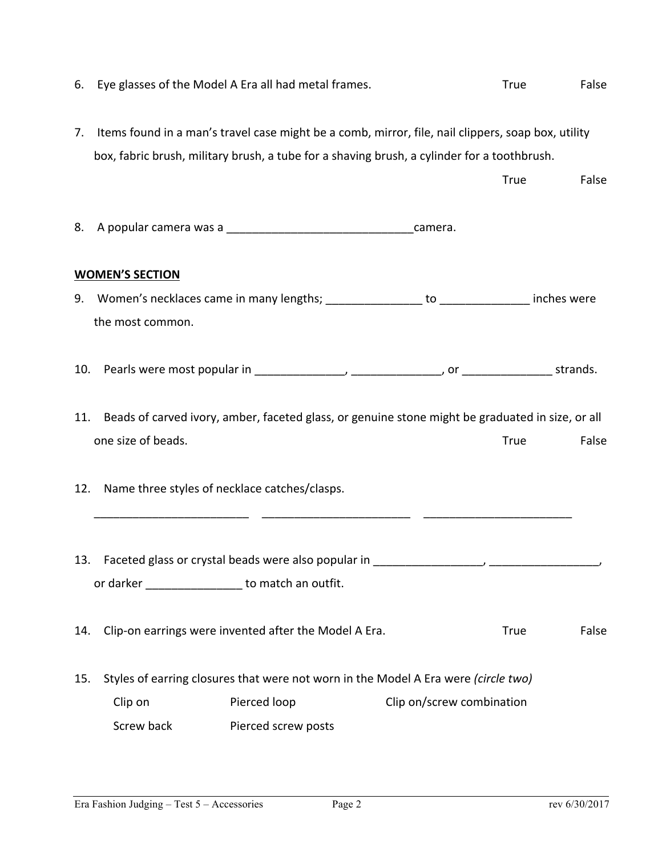| 6.  | Eye glasses of the Model A Era all had metal frames.                                                                                                                                              |                                                                                                  |                           | True        | False |  |
|-----|---------------------------------------------------------------------------------------------------------------------------------------------------------------------------------------------------|--------------------------------------------------------------------------------------------------|---------------------------|-------------|-------|--|
| 7.  | Items found in a man's travel case might be a comb, mirror, file, nail clippers, soap box, utility<br>box, fabric brush, military brush, a tube for a shaving brush, a cylinder for a toothbrush. |                                                                                                  |                           |             |       |  |
|     |                                                                                                                                                                                                   |                                                                                                  |                           | <b>True</b> | False |  |
| 8.  |                                                                                                                                                                                                   |                                                                                                  |                           |             |       |  |
|     | <b>WOMEN'S SECTION</b>                                                                                                                                                                            |                                                                                                  |                           |             |       |  |
| 9.  |                                                                                                                                                                                                   | Women's necklaces came in many lengths; __________________ to _______________ inches were        |                           |             |       |  |
|     | the most common.                                                                                                                                                                                  |                                                                                                  |                           |             |       |  |
| 10. |                                                                                                                                                                                                   |                                                                                                  |                           |             |       |  |
| 11. |                                                                                                                                                                                                   | Beads of carved ivory, amber, faceted glass, or genuine stone might be graduated in size, or all |                           |             |       |  |
|     | one size of beads.                                                                                                                                                                                |                                                                                                  |                           | <b>True</b> | False |  |
| 12. |                                                                                                                                                                                                   | Name three styles of necklace catches/clasps.                                                    |                           |             |       |  |
|     |                                                                                                                                                                                                   |                                                                                                  |                           |             |       |  |
|     |                                                                                                                                                                                                   | 13. Faceted glass or crystal beads were also popular in _________________________                |                           |             |       |  |
|     |                                                                                                                                                                                                   | or darker __________________ to match an outfit.                                                 |                           |             |       |  |
| 14. |                                                                                                                                                                                                   | Clip-on earrings were invented after the Model A Era.                                            |                           | <b>True</b> | False |  |
| 15. |                                                                                                                                                                                                   | Styles of earring closures that were not worn in the Model A Era were (circle two)               |                           |             |       |  |
|     | Clip on                                                                                                                                                                                           | Pierced loop                                                                                     | Clip on/screw combination |             |       |  |
|     | Screw back                                                                                                                                                                                        | Pierced screw posts                                                                              |                           |             |       |  |